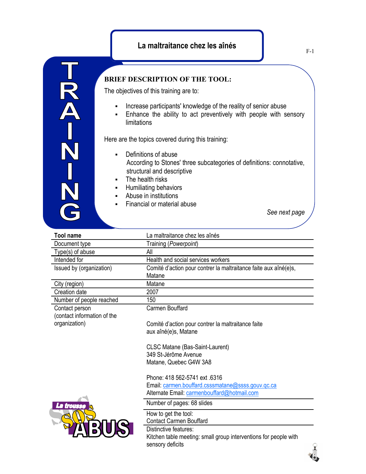## **La maltraitance chez les aînés**



## **BRIEF DESCRIPTION OF THE TOOL:**

The objectives of this training are to:

- **Increase participants' knowledge of the reality of senior abuse**
- Enhance the ability to act preventively with people with sensory limitations

Here are the topics covered during this training:

- Definitions of abuse
	- According to Stones' three subcategories of definitions: connotative, structural and descriptive
- **The health risks**
- **Humiliating behaviors**
- Abuse in institutions
- **Financial or material abuse**

*See next page*

| <b>Tool name</b>            | La maltraitance chez les aînés                                   |
|-----------------------------|------------------------------------------------------------------|
| Document type               | Training (Powerpoint)                                            |
| Type(s) of abuse            | All                                                              |
| Intended for                | Health and social services workers                               |
| Issued by (organization)    | Comité d'action pour contrer la maltraitance faite aux aîné(e)s, |
|                             | Matane                                                           |
| City (region)               | Matane                                                           |
| Creation date               | 2007                                                             |
| Number of people reached    | 150                                                              |
| Contact person              | <b>Carmen Bouffard</b>                                           |
| (contact information of the |                                                                  |
| organization)               | Comité d'action pour contrer la maltraitance faite               |
|                             | aux aîné(e)s, Matane                                             |
|                             | <b>CLSC Matane (Bas-Saint-Laurent)</b>                           |
|                             | 349 St-Jérôme Avenue                                             |
|                             | Matane, Quebec G4W 3A8                                           |
|                             | Phone: 418 562-5741 ext .6316                                    |
|                             | Email: carmen.bouffard.csssmatane@ssss.gouv.gc.ca                |
|                             | Alternate Email: carmenbouffard@hotmail.com                      |
| La trousse                  | Number of pages: 68 slides                                       |
|                             | How to get the tool:                                             |
|                             | <b>Contact Carmen Bouffard</b>                                   |
|                             | Distinctive features:                                            |
|                             | Kitchen table meeting: small group interventions for people with |
|                             | sensory deficits                                                 |